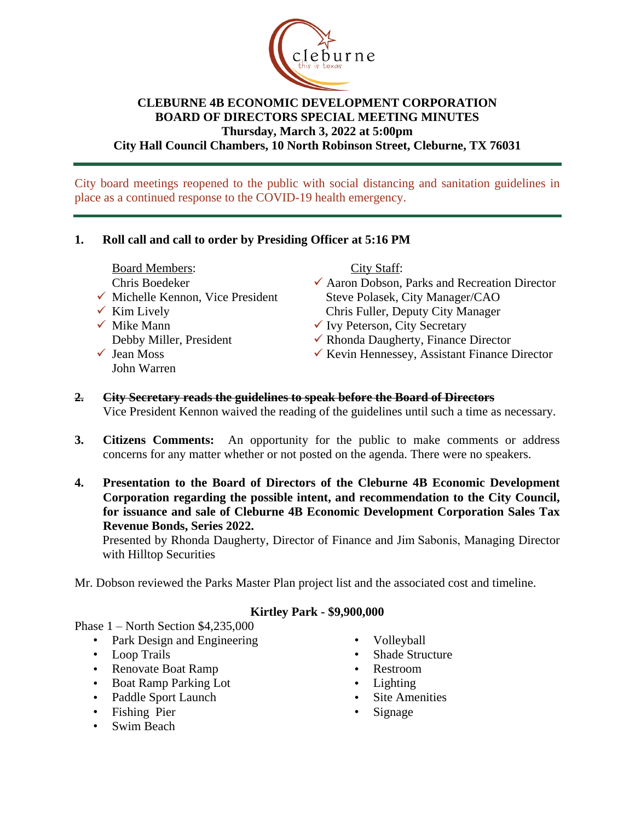

### **CLEBURNE 4B ECONOMIC DEVELOPMENT CORPORATION BOARD OF DIRECTORS SPECIAL MEETING MINUTES Thursday, March 3, 2022 at 5:00pm City Hall Council Chambers, 10 North Robinson Street, Cleburne, TX 76031**

City board meetings reopened to the public with social distancing and sanitation guidelines in place as a continued response to the COVID-19 health emergency.

### **1. Roll call and call to order by Presiding Officer at 5:16 PM**

Board Members:

Chris Boedeker

- $\checkmark$  Michelle Kennon, Vice President
- $\checkmark$  Kim Lively
- $\checkmark$  Mike Mann Debby Miller, President  $\checkmark$  Jean Moss
	- John Warren

City Staff:

- $\checkmark$  Aaron Dobson, Parks and Recreation Director Steve Polasek, City Manager/CAO Chris Fuller, Deputy City Manager
- $\checkmark$  Ivy Peterson, City Secretary
- $\checkmark$  Rhonda Daugherty, Finance Director
- $\checkmark$  Kevin Hennessey, Assistant Finance Director
- **2. City Secretary reads the guidelines to speak before the Board of Directors** Vice President Kennon waived the reading of the guidelines until such a time as necessary.
- **3. Citizens Comments:** An opportunity for the public to make comments or address concerns for any matter whether or not posted on the agenda. There were no speakers.
- **4. Presentation to the Board of Directors of the Cleburne 4B Economic Development Corporation regarding the possible intent, and recommendation to the City Council, for issuance and sale of Cleburne 4B Economic Development Corporation Sales Tax Revenue Bonds, Series 2022.**

Presented by Rhonda Daugherty, Director of Finance and Jim Sabonis, Managing Director with Hilltop Securities

Mr. Dobson reviewed the Parks Master Plan project list and the associated cost and timeline.

### **Kirtley Park - \$9,900,000**

Phase 1 – North Section \$4,235,000

- Park Design and Engineering
- Loop Trails
- Renovate Boat Ramp
- Boat Ramp Parking Lot
- Paddle Sport Launch
- Fishing Pier
- Swim Beach
- Volleyball
- Shade Structure
- Restroom
- Lighting
- Site Amenities
- **Signage**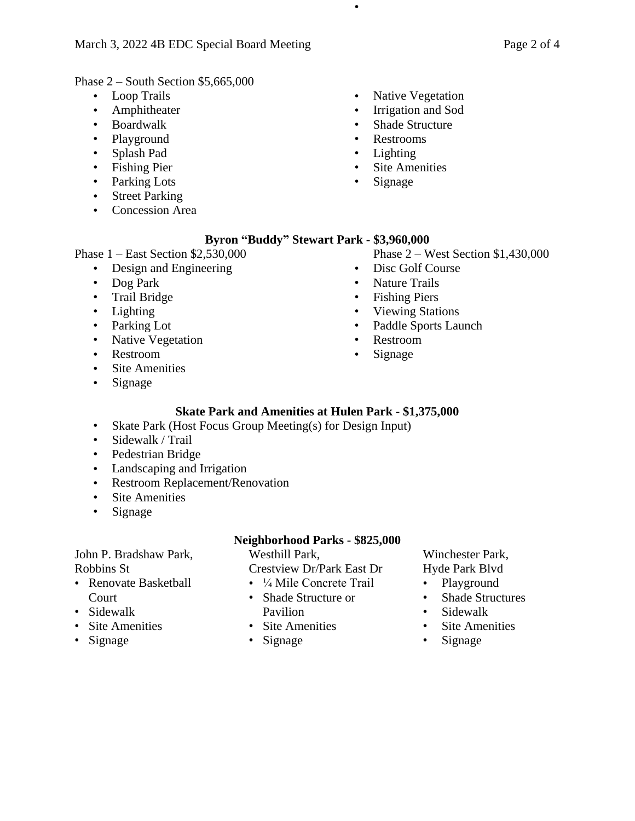Phase 2 – South Section \$5,665,000

- Loop Trails
- Amphitheater
- Boardwalk
- Playground
- Splash Pad
- Fishing Pier
- Parking Lots
- Street Parking
- Concession Area
- Native Vegetation
- Irrigation and Sod
- Shade Structure
- Restrooms
- Lighting

•

- **Site Amenities**
- Signage

### **Byron "Buddy" Stewart Park - \$3,960,000**

Phase 1 – East Section \$2,530,000

- Design and Engineering
- Dog Park
- Trail Bridge
- Lighting
- Parking Lot
- Native Vegetation
- Restroom
- Site Amenities
- Signage

# Phase 2 – West Section \$1,430,000

- Disc Golf Course
- Nature Trails
- Fishing Piers
- Viewing Stations
- Paddle Sports Launch
- Restroom
- Signage

## **Skate Park and Amenities at Hulen Park - \$1,375,000**

- Skate Park (Host Focus Group Meeting(s) for Design Input)
- Sidewalk / Trail
- Pedestrian Bridge
- Landscaping and Irrigation
- Restroom Replacement/Renovation
- Site Amenities
- Signage

### John P. Bradshaw Park, Robbins St

• Renovate Basketball Court

- Sidewalk
- Site Amenities
- Signage

### **Neighborhood Parks - \$825,000**

Westhill Park, Crestview Dr/Park East Dr

- <sup>1</sup>/<sub>4</sub> Mile Concrete Trail
- Shade Structure or Pavilion
- Site Amenities
- Signage

### Winchester Park, Hyde Park Blvd

- Playground
- Shade Structures
- Sidewalk
- Site Amenities
- Signage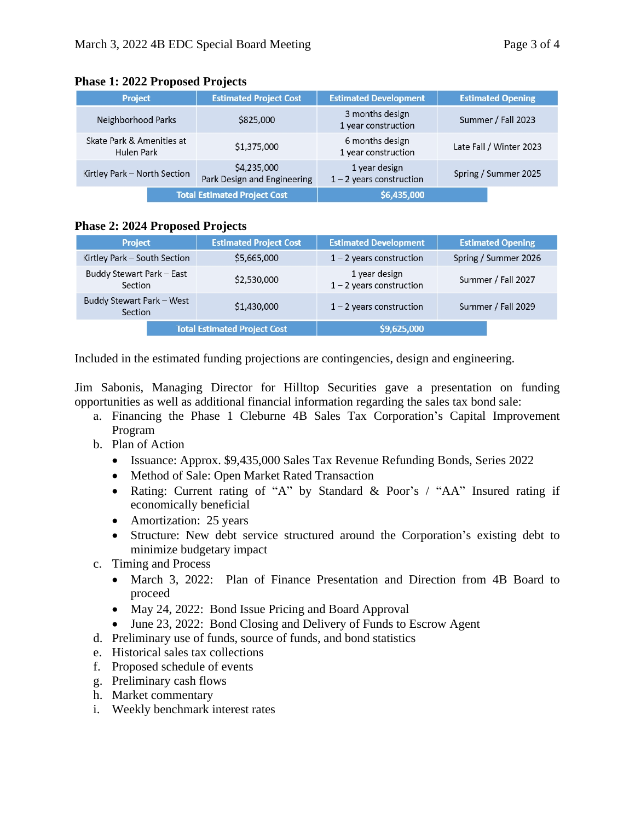| <b>Project</b>                          | <b>Estimated Project Cost</b>              | <b>Estimated Development</b>                | <b>Estimated Opening</b> |
|-----------------------------------------|--------------------------------------------|---------------------------------------------|--------------------------|
| Neighborhood Parks                      | \$825,000                                  | 3 months design<br>1 year construction      | Summer / Fall 2023       |
| Skate Park & Amenities at<br>Hulen Park | \$1,375,000                                | 6 months design<br>1 year construction      | Late Fall / Winter 2023  |
| Kirtley Park - North Section            | \$4,235,000<br>Park Design and Engineering | 1 year design<br>$1 - 2$ years construction | Spring / Summer 2025     |
| <b>Total Estimated Project Cost</b>     |                                            | \$6,435,000                                 |                          |

#### **Phase 1: 2022 Proposed Projects**

#### **Phase 2: 2024 Proposed Projects**

| <b>Project</b>                       | <b>Estimated Project Cost</b> | <b>Estimated Development</b>                | <b>Estimated Opening</b> |
|--------------------------------------|-------------------------------|---------------------------------------------|--------------------------|
| Kirtley Park - South Section         | \$5,665,000                   | $1 - 2$ years construction                  | Spring / Summer 2026     |
| Buddy Stewart Park - East<br>Section | \$2,530,000                   | 1 year design<br>$1 - 2$ years construction | Summer / Fall 2027       |
| Buddy Stewart Park - West<br>Section | \$1,430,000                   | $1 - 2$ years construction                  | Summer / Fall 2029       |
| <b>Total Estimated Project Cost</b>  |                               | \$9,625,000                                 |                          |

Included in the estimated funding projections are contingencies, design and engineering.

Jim Sabonis, Managing Director for Hilltop Securities gave a presentation on funding opportunities as well as additional financial information regarding the sales tax bond sale:

- a. Financing the Phase 1 Cleburne 4B Sales Tax Corporation's Capital Improvement Program
- b. Plan of Action
	- Issuance: Approx. \$9,435,000 Sales Tax Revenue Refunding Bonds, Series 2022
	- Method of Sale: Open Market Rated Transaction
	- Rating: Current rating of "A" by Standard & Poor's / "AA" Insured rating if economically beneficial
	- Amortization: 25 years
	- Structure: New debt service structured around the Corporation's existing debt to minimize budgetary impact
- c. Timing and Process
	- March 3, 2022: Plan of Finance Presentation and Direction from 4B Board to proceed
	- May 24, 2022: Bond Issue Pricing and Board Approval
	- June 23, 2022: Bond Closing and Delivery of Funds to Escrow Agent
- d. Preliminary use of funds, source of funds, and bond statistics
- e. Historical sales tax collections
- f. Proposed schedule of events
- g. Preliminary cash flows
- h. Market commentary
- i. Weekly benchmark interest rates